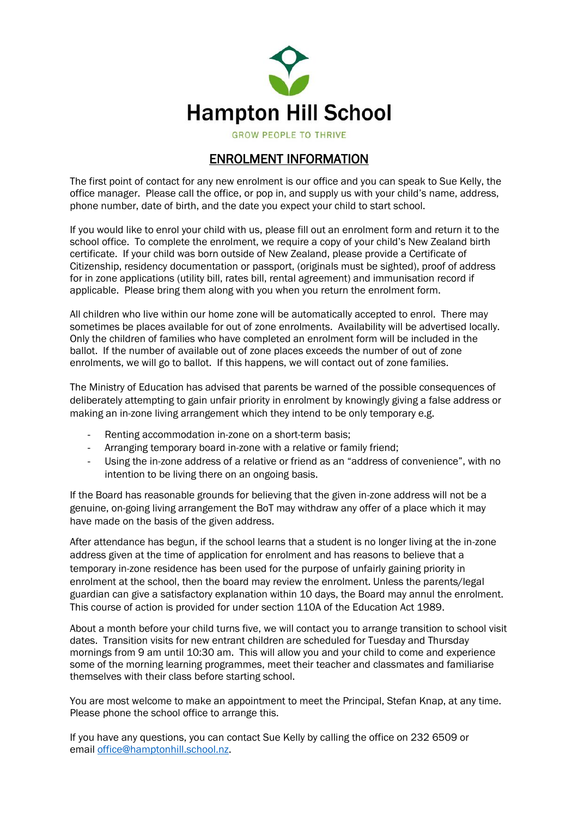

**GROW PEOPLE TO THRIVE** 

## ENROLMENT INFORMATION

The first point of contact for any new enrolment is our office and you can speak to Sue Kelly, the office manager. Please call the office, or pop in, and supply us with your child's name, address, phone number, date of birth, and the date you expect your child to start school.

If you would like to enrol your child with us, please fill out an enrolment form and return it to the school office. To complete the enrolment, we require a copy of your child's New Zealand birth certificate. If your child was born outside of New Zealand, please provide a Certificate of Citizenship, residency documentation or passport, (originals must be sighted), proof of address for in zone applications (utility bill, rates bill, rental agreement) and immunisation record if applicable. Please bring them along with you when you return the enrolment form.

All children who live within our home zone will be automatically accepted to enrol. There may sometimes be places available for out of zone enrolments. Availability will be advertised locally. Only the children of families who have completed an enrolment form will be included in the ballot. If the number of available out of zone places exceeds the number of out of zone enrolments, we will go to ballot. If this happens, we will contact out of zone families.

The Ministry of Education has advised that parents be warned of the possible consequences of deliberately attempting to gain unfair priority in enrolment by knowingly giving a false address or making an in-zone living arrangement which they intend to be only temporary e.g.

- Renting accommodation in-zone on a short-term basis;
- Arranging temporary board in-zone with a relative or family friend;
- Using the in-zone address of a relative or friend as an "address of convenience", with no intention to be living there on an ongoing basis.

If the Board has reasonable grounds for believing that the given in-zone address will not be a genuine, on-going living arrangement the BoT may withdraw any offer of a place which it may have made on the basis of the given address.

After attendance has begun, if the school learns that a student is no longer living at the in-zone address given at the time of application for enrolment and has reasons to believe that a temporary in-zone residence has been used for the purpose of unfairly gaining priority in enrolment at the school, then the board may review the enrolment. Unless the parents/legal guardian can give a satisfactory explanation within 10 days, the Board may annul the enrolment. This course of action is provided for under section 110A of the Education Act 1989.

About a month before your child turns five, we will contact you to arrange transition to school visit dates. Transition visits for new entrant children are scheduled for Tuesday and Thursday mornings from 9 am until 10:30 am. This will allow you and your child to come and experience some of the morning learning programmes, meet their teacher and classmates and familiarise themselves with their class before starting school.

You are most welcome to make an appointment to meet the Principal, Stefan Knap, at any time. Please phone the school office to arrange this.

If you have any questions, you can contact Sue Kelly by calling the office on 232 6509 or email [office@hamptonhill.school.nz.](mailto:office@hamptonhill.school.nz)